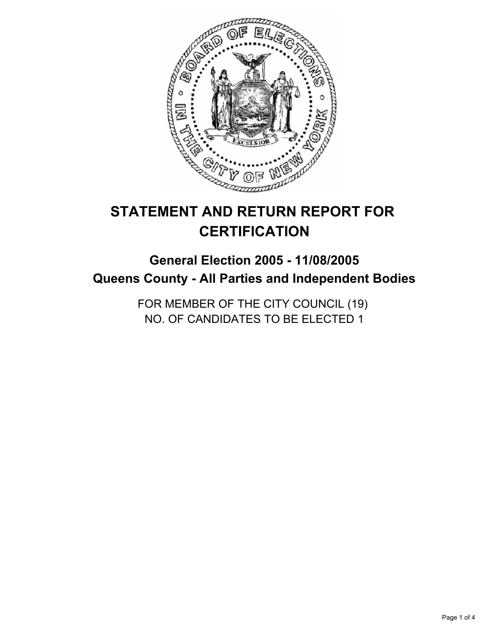

# **STATEMENT AND RETURN REPORT FOR CERTIFICATION**

# **General Election 2005 - 11/08/2005 Queens County - All Parties and Independent Bodies**

FOR MEMBER OF THE CITY COUNCIL (19) NO. OF CANDIDATES TO BE ELECTED 1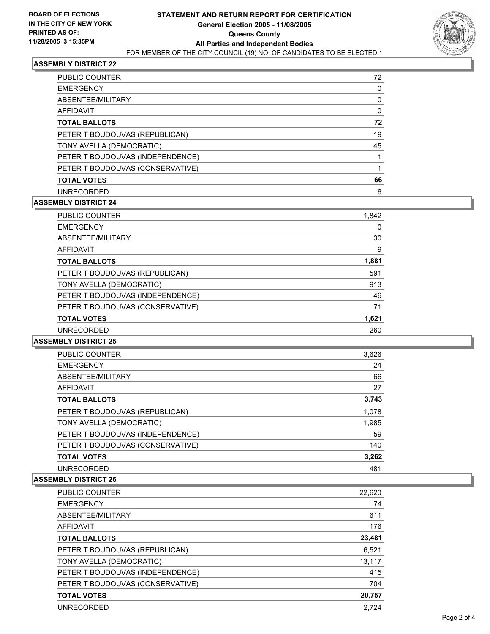

# **ASSEMBLY DISTRICT 22**

| <b>PUBLIC COUNTER</b>            | 72 |
|----------------------------------|----|
| <b>EMERGENCY</b>                 |    |
| ABSENTEE/MILITARY                |    |
| AFFIDAVIT                        |    |
| <b>TOTAL BALLOTS</b>             | 72 |
| PETER T BOUDOUVAS (REPUBLICAN)   | 19 |
| TONY AVELLA (DEMOCRATIC)         | 45 |
| PETER T BOUDOUVAS (INDEPENDENCE) |    |
| PETER T BOUDOUVAS (CONSERVATIVE) |    |
| <b>TOTAL VOTES</b>               | 66 |
| <b>UNRECORDED</b>                | 6  |

# **ASSEMBLY DISTRICT 24**

| <b>PUBLIC COUNTER</b>            | 1,842 |
|----------------------------------|-------|
| <b>EMERGENCY</b>                 | 0     |
| ABSENTEE/MILITARY                | 30    |
| AFFIDAVIT                        | 9     |
| <b>TOTAL BALLOTS</b>             | 1,881 |
| PETER T BOUDOUVAS (REPUBLICAN)   | 591   |
| TONY AVELLA (DEMOCRATIC)         | 913   |
| PETER T BOUDOUVAS (INDEPENDENCE) | 46    |
| PETER T BOUDOUVAS (CONSERVATIVE) | 71    |
| <b>TOTAL VOTES</b>               | 1,621 |
| <b>UNRECORDED</b>                | 260   |

#### **ASSEMBLY DISTRICT 25**

| <b>PUBLIC COUNTER</b>            | 3,626 |  |
|----------------------------------|-------|--|
| <b>EMERGENCY</b>                 | 24    |  |
| ABSENTEE/MILITARY                | 66    |  |
| AFFIDAVIT                        | 27    |  |
| <b>TOTAL BALLOTS</b>             | 3,743 |  |
| PETER T BOUDOUVAS (REPUBLICAN)   | 1,078 |  |
| TONY AVELLA (DEMOCRATIC)         | 1,985 |  |
| PETER T BOUDOUVAS (INDEPENDENCE) | 59    |  |
| PETER T BOUDOUVAS (CONSERVATIVE) | 140   |  |
| <b>TOTAL VOTES</b>               | 3,262 |  |
| <b>UNRECORDED</b>                | 481   |  |

#### **ASSEMBLY DISTRICT 26**

| PUBLIC COUNTER                   | 22,620 |
|----------------------------------|--------|
| <b>EMERGENCY</b>                 | 74     |
| ABSENTEE/MILITARY                | 611    |
| AFFIDAVIT                        | 176    |
| <b>TOTAL BALLOTS</b>             | 23,481 |
| PETER T BOUDOUVAS (REPUBLICAN)   | 6,521  |
| TONY AVELLA (DEMOCRATIC)         | 13,117 |
| PETER T BOUDOUVAS (INDEPENDENCE) | 415    |
| PETER T BOUDOUVAS (CONSERVATIVE) | 704    |
| <b>TOTAL VOTES</b>               | 20,757 |
| <b>UNRECORDED</b>                | 2.724  |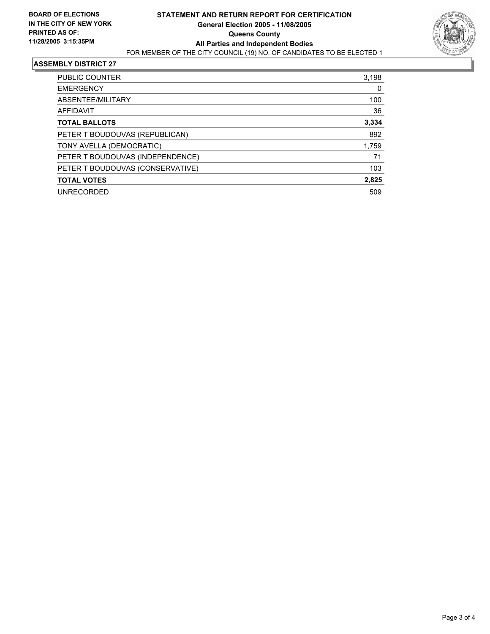

#### **ASSEMBLY DISTRICT 27**

| <b>PUBLIC COUNTER</b>            | 3,198 |
|----------------------------------|-------|
| <b>EMERGENCY</b>                 | 0     |
| ABSENTEE/MILITARY                | 100   |
| <b>AFFIDAVIT</b>                 | 36    |
| <b>TOTAL BALLOTS</b>             | 3,334 |
| PETER T BOUDOUVAS (REPUBLICAN)   | 892   |
| TONY AVELLA (DEMOCRATIC)         | 1,759 |
| PETER T BOUDOUVAS (INDEPENDENCE) | 71    |
| PETER T BOUDOUVAS (CONSERVATIVE) | 103   |
| <b>TOTAL VOTES</b>               | 2,825 |
| <b>UNRECORDED</b>                | 509   |